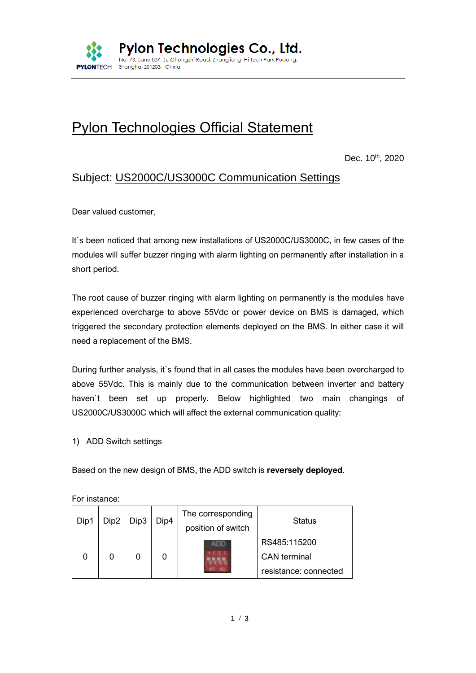

# Pylon Technologies Official Statement

Dec. 10<sup>th</sup>, 2020

## Subject: US2000C/US3000C Communication Settings

Dear valued customer,

It's been noticed that among new installations of US2000C/US3000C, in few cases of the modules will suffer buzzer ringing with alarm lighting on permanently after installation in a short period.

The root cause of buzzer ringing with alarm lighting on permanently is the modules have experienced overcharge to above 55Vdc or power device on BMS is damaged, which triggered the secondary protection elements deployed on the BMS. In either case it will need a replacement of the BMS.

During further analysis, it`s found that in all cases the modules have been overcharged to above 55Vdc. This is mainly due to the communication between inverter and battery haven`t been set up properly. Below highlighted two main changings of US2000C/US3000C which will affect the external communication quality:

1) ADD Switch settings

Based on the new design of BMS, the ADD switch is **reversely deployed**.

| Dip1 | Dip <sub>2</sub> | Dip3 | Dip4 | The corresponding<br>position of switch | <b>Status</b>                                                |
|------|------------------|------|------|-----------------------------------------|--------------------------------------------------------------|
|      |                  |      |      |                                         | RS485:115200<br><b>CAN</b> terminal<br>resistance: connected |

For instance: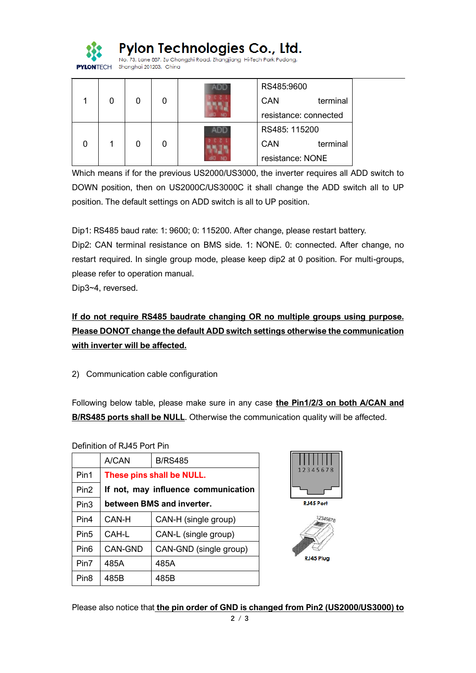

Pylon Technologies Co., Ltd.

No. 73, Lane 887, Zu Chonazhi Road, Zhangjiang Hi-Tech Park Pudona, Shanghai 201203, China

| O |  |  | RS485:9600            |          |
|---|--|--|-----------------------|----------|
|   |  |  | CAN                   | terminal |
|   |  |  | resistance: connected |          |
|   |  |  | RS485: 115200         |          |
|   |  |  | CAN                   | terminal |
|   |  |  | resistance: NONE      |          |

Which means if for the previous US2000/US3000, the inverter requires all ADD switch to DOWN position, then on US2000C/US3000C it shall change the ADD switch all to UP position. The default settings on ADD switch is all to UP position.

Dip1: RS485 baud rate: 1: 9600; 0: 115200. After change, please restart battery. Dip2: CAN terminal resistance on BMS side. 1: NONE. 0: connected. After change, no restart required. In single group mode, please keep dip2 at 0 position. For multi-groups, please refer to operation manual.

Dip3~4, reversed.

**If do not require RS485 baudrate changing OR no multiple groups using purpose. Please DONOT change the default ADD switch settings otherwise the communication with inverter will be affected.**

2) Communication cable configuration

Following below table, please make sure in any case **the Pin1/2/3 on both A/CAN and B/RS485 ports shall be NULL**. Otherwise the communication quality will be affected.

### Definition of RJ45 Port Pin

|                  | A/CAN                               | <b>B/RS485</b>         |  |  |  |
|------------------|-------------------------------------|------------------------|--|--|--|
| Pin1             | These pins shall be NULL.           |                        |  |  |  |
| Pin <sub>2</sub> | If not, may influence communication |                        |  |  |  |
| Pin <sub>3</sub> | between BMS and inverter.           |                        |  |  |  |
| Pin4             | CAN-H                               | CAN-H (single group)   |  |  |  |
| Pin <sub>5</sub> | CAH-L                               | CAN-L (single group)   |  |  |  |
| Pin <sub>6</sub> | CAN-GND                             | CAN-GND (single group) |  |  |  |
| Pin7             | 485A                                | 485A                   |  |  |  |
| Pin <sub>8</sub> | 485B                                | 485B                   |  |  |  |





Please also notice that **the pin order of GND is changed from Pin2 (US2000/US3000) to**